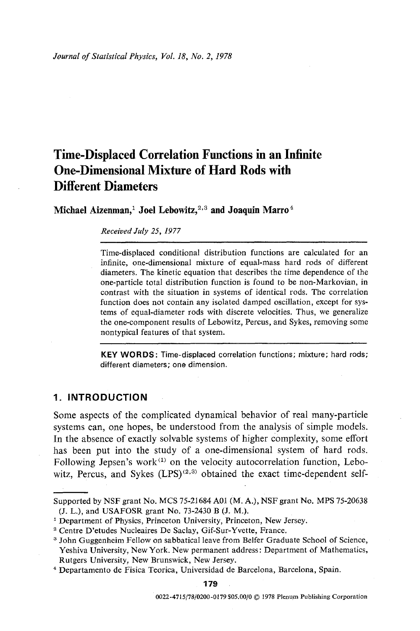# **Time-Displaced Correlation Functions in an Infinite One-Dimensional Mixture of Hard Rods with Different Diameters**

Michael Aizenman,<sup>1</sup> Joel Lebowitz,<sup>2,3</sup> and Joaquin Marro<sup>4</sup>

*Received July 25, 1977* 

Time-displaced conditional distribution functions are calculated for an infinite, one-dimensional mixture of equal-mass hard rods of different diameters. The kinetic equation that describes the time dependence of the one-particle total distribution function is found to be non-Markovian, in contrast with the situation in systems of identical rods. The correlation function does not contain any isolated damped oscillation, except for systems of equal-diameter rods with discrete velocities. Thus, we generalize the one-component results of Lebowitz, Percus, and Sykes, removing some nontypical features of that system.

KEY WORDS: Time-displaced correlation functions; mixture; hard rods; different diameters; one dimension.

## **1. INTRODUCTION**

Some aspects of the complicated dynamical behavior of real many-particle systems can, one hopes, be understood from the analysis of simple models. In the absence of exactly solvable systems of higher complexity, some effort has been put into the study of a one-dimensional system of hard rods. Following Jepsen's work $^{(1)}$  on the velocity autocorrelation function, Lebowitz, Percus, and Sykes  $(LPS)^{(2,3)}$  obtained the exact time-dependent self-

Supported by NSF grant No. MCS 75-21684 A01 (M. A.), NSF grant No. MPS 75-20638 (J. L.), and USAFOSR grant No. 73-2430 B (J. M.).

<sup>&</sup>lt;sup>1</sup> Department of Physics, Princeton University, Princeton, New Jersey.

<sup>2</sup> Centre D'etudes Nucleaires De Saclay, Gif-Sur-Yvette, France.

<sup>3</sup> John Guggenheim Fellow on sabbatical leave from Belfer Graduate School of Science, Yeshiva University, New York. New permanent address: Department of Mathematics, Rutgers University, New Brunswick, New Jersey.

<sup>4</sup> Departamento de Fisica Teorica, Universidad de Barcelona, Barcelona, Spain.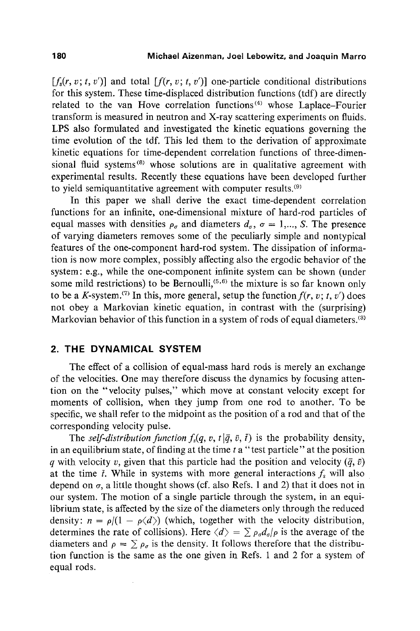$[f_{\epsilon}(r, v; t, v')]$  and total  $[f(r, v; t, v')]$  one-particle conditional distributions for this system. These time-displaced distribution functions (tdf) are directly related to the van Hove correlation functions<sup>(4)</sup> whose Laplace-Fourier transform is measured in neutron and X-ray scattering experiments on fluids. LPS also formulated and investigated the kinetic equations governing the time evolution of the tdf. This led them to the derivation of approximate kinetic equations for time-dependent correlation functions of three-dimensional fluid systems<sup> $(8)$ </sup> whose solutions are in qualitative agreement with experimental results. Recently these equations have been developed further to yield semiquantitative agreement with computer results.<sup>(9)</sup>

In this paper we shall derive the exact time-dependent correlation functions for an infinite, one-dimensional mixture of hard-rod particles of equal masses with densities  $\rho_{\sigma}$  and diameters  $d_{\sigma}$ ,  $\sigma = 1,..., S$ . The presence of varying diameters removes some of the peculiarly simple and nontypical features of the one-component hard-rod system. The dissipation of information is now more complex, possibly affecting also the ergodic behavior of the system: e.g., while the one-component infinite system can be shown (under some mild restrictions) to be Bernoulli,  $(5,6)$  the mixture is so far known only to be a K-system.<sup>(7)</sup> In this, more general, setup the function  $f(r, v; t, v')$  does not obey a Markovian kinetic equation, in contrast with the (surprising) Markovian behavior of this function in a system of rods of equal diameters.<sup>(3)</sup>

# **2. THE DYNAMICAL SYSTEM**

The effect of a collision of equal-mass hard rods is merely an exchange of the velocities. One may therefore discuss the dynamics by focusing attention on the "velocity pulses," which move at constant velocity except for moments of collision, when they jump from one rod to another. To be specific, we shall refer to the midpoint as the position of a rod and that of the corresponding velocity pulse.

The *self-distribution function*  $f_s(q, v, t | \bar{q}, \bar{v}, \bar{t})$  is the probability density, in an equilibrium state, of finding at the time  $t$  a "test particle" at the position a with velocity v, given that this particle had the position and velocity  $(\bar{q}, \bar{v})$ at the time  $\bar{t}$ . While in systems with more general interactions  $f_s$  will also depend on  $\sigma$ , a little thought shows (cf. also Refs. 1 and 2) that it does not in our system. The motion of a single particle through the system, in an equilibrium state, is affected by the size of the diameters only through the reduced density:  $n = \rho/(1 - \rho \langle d \rangle)$  (which, together with the velocity distribution, determines the rate of collisions). Here  $\langle d \rangle = \sum \rho_q d_q/\rho$  is the average of the diameters and  $\rho = \sum \rho_{\sigma}$  is the density. It follows therefore that the distribution function is the same as the one given in Refs. 1 and 2 for a system of equal rods.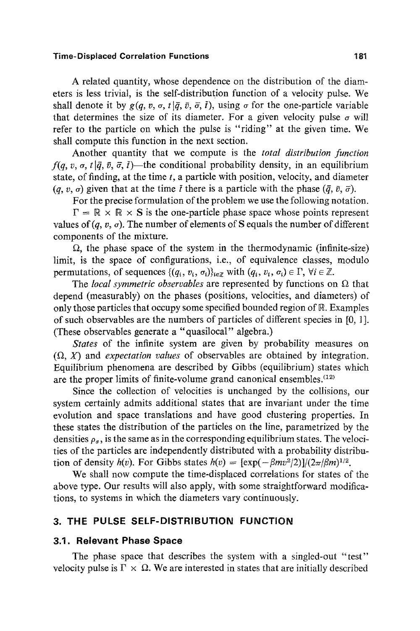#### **Time-Displaced Correlation Functions 181**

A related quantity, whose dependence on the distribution of the diameters is less trivial, is the self-distribution function of a velocity pulse. We shall denote it by  $g(q, v, \sigma, t | \bar{q}, \bar{v}, \bar{\sigma}, \bar{t})$ , using  $\sigma$  for the one-particle variable that determines the size of its diameter. For a given velocity pulse  $\sigma$  will refer to the particle on which the pulse is "riding" at the given time. We shall compute this function in the next section.

Another quantity that we compute is the *total distribution function*   $f(q, v, \sigma, t | \bar{q}, \bar{v}, \bar{\sigma}, \bar{t})$ —the conditional probability density, in an equilibrium state, of finding, at the time  $t$ , a particle with position, velocity, and diameter  $(q, v, \sigma)$  given that at the time *i* there is a particle with the phase  $(\bar{q}, \bar{v}, \bar{\sigma})$ .

For the precise formulation of the problem we use the following notation.

 $\Gamma = \mathbb{R} \times \mathbb{R} \times S$  is the one-particle phase space whose points represent values of  $(q, v, \sigma)$ . The number of elements of S equals the number of different components of the mixture.

 $\Omega$ , the phase space of the system in the thermodynamic (infinite-size) limit, is the space of configurations, i.e,, of equivalence classes, modulo permutations, of sequences  $\{(q_i, v_i, \sigma_i)\}_{i \in \mathbb{Z}}$  with  $(q_i, v_i, \sigma_i) \in \Gamma$ ,  $\forall i \in \mathbb{Z}$ .

The *local symmetric observables* are represented by functions on  $\Omega$  that depend (measurably) on the phases (positions, velocities, and diameters) of only those particles that occupy some specified bounded region of  $\mathbb{R}$ . Examples of such observables are the numbers of particles of different species in [0, 1 ]. (These observables generate a "quasilocal'" algebra.)

*States* of the infinite system are given by probability measures on  $(\Omega, X)$  and *expectation values* of observables are obtained by integration. Equilibrium phenomena are described by Gibbs (equilibrium) states which are the proper limits of finite-volume grand canonical ensembles.  $(12)$ 

Since the collection of velocities is unchanged by the collisions, our system certainly admits additional states that are invariant under the time evolution and space translations and have good clustering properties. In these states the distribution of the particles on the line, parametrized by the densities  $\rho_{\sigma}$ , is the same as in the corresponding equilibrium states. The velocities of the particles are independently distributed with a probability distribution of density  $h(v)$ . For Gibbs states  $h(v) = [\exp(-\beta m v^2/2)]/(2\pi/\beta m)^{1/2}$ .

We shall now compute the time-displaced correlations for states of the above type. Our results will also apply, with some straightforward modifications, to systems in which the diameters vary continuously.

# **3. THE PULSE SELF-DISTRIBUTION FUNCTION**

## **3.1. Relevant Phase Space**

The phase space that describes the system with a singled-out "test" velocity pulse is  $\Gamma \times \Omega$ . We are interested in states that are initially described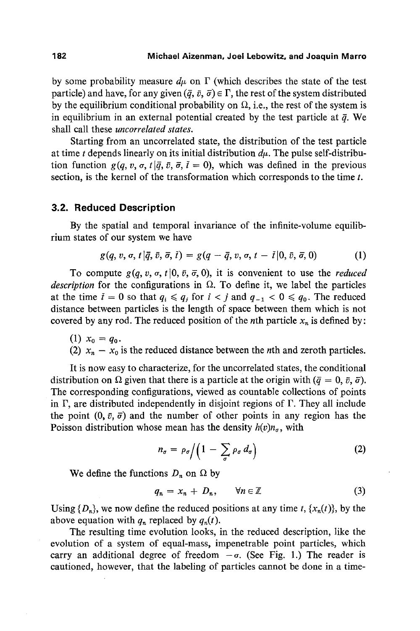by some probability measure  $d\mu$  on  $\Gamma$  (which describes the state of the test particle) and have, for any given  $({\bar q}, {\bar v}, {\bar \sigma}) \in \Gamma$ , the rest of the system distributed by the equilibrium conditional probability on  $\Omega$ , i.e., the rest of the system is in equilibrium in an external potential created by the test particle at  $\bar{q}$ . We shall call these *uncorrelated states.* 

Starting from an uncorrelated state, the distribution of the test particle at time t depends linearly on its initial distribution  $d\mu$ . The pulse self-distribution function  $g(q, v, \sigma, t | \bar{q}, \bar{v}, \bar{\sigma}, \bar{t} = 0)$ , which was defined in the previous section, is the kernel of the transformation which corresponds to the time t.

## **3.2. Reduced Description**

By the spatial and temporal invariance of the infinite-volume equilibrium states of our system we have

$$
g(q, v, \sigma, t | \bar{q}, \bar{v}, \bar{\sigma}, \bar{t}) = g(q - \bar{q}, v, \sigma, t - \bar{t} | 0, \bar{v}, \bar{\sigma}, 0) \tag{1}
$$

To compute  $g(q, v, \sigma, t | 0, \bar{v}, \bar{\sigma}, 0)$ , it is convenient to use the *reduced description* for the configurations in  $\Omega$ . To define it, we label the particles at the time  $\bar{t} = 0$  so that  $q_i \leq q_j$  for  $i < j$  and  $q_{-1} < 0 \leq q_0$ . The reduced distance between particles is the length of space between them which is not covered by any rod. The reduced position of the *n*th particle  $x_n$  is defined by:

(1)  $x_0 = q_0$ . (2)  $x_n - x_0$  is the reduced distance between the *n*th and zeroth particles.

It is now easy to characterize, for the uncorrelated states, the conditional distribution on  $\Omega$  given that there is a particle at the origin with  $({\bar q} = 0, {\bar v}, {\bar \sigma}).$ The corresponding configurations, viewed as countable collections of points in  $\Gamma$ , are distributed independently in disjoint regions of  $\Gamma$ . They all include the point  $(0, \bar{v}, \bar{\sigma})$  and the number of other points in any region has the Poisson distribution whose mean has the density  $h(v)n_{\sigma}$ , with

$$
n_{\sigma} = \rho_{\sigma} / \left( 1 - \sum_{\sigma} \rho_{\sigma} d_{\sigma} \right) \tag{2}
$$

We define the functions  $D_n$  on  $\Omega$  by

$$
q_n = x_n + D_n, \qquad \forall n \in \mathbb{Z} \tag{3}
$$

Using  $\{D_n\}$ , we now define the reduced positions at any time t,  $\{x_n(t)\}\)$ , by the above equation with  $q_n$  replaced by  $q_n(t)$ .

The resulting time evolution looks, in the reduced description, like the evolution of a system of equal-mass, impenetrable point particles, which carry an additional degree of freedom  $-\sigma$ . (See Fig. 1.) The reader is cautioned, however, that the labeling of particles cannot be done in a time-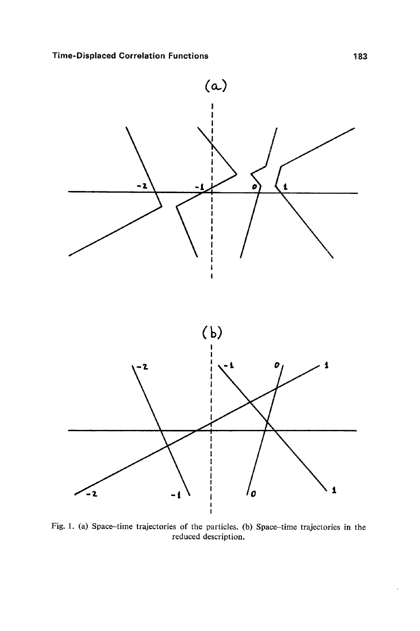

Fig. 1. (a) Space-time trajectories of the particles. (b) Space-time trajectories in the reduced description.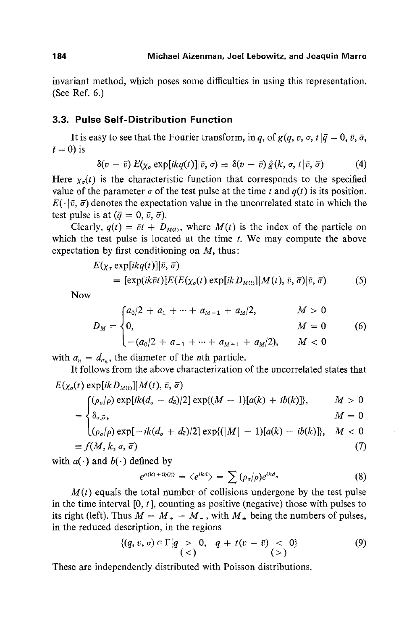invariant method, which poses some difficulties in using this representation. (See Ref. 6.)

# **3.3. Pulse Self-Distribution Function**

It is easy to see that the Fourier transform, in q, of  $g(q, v, \sigma, t | \bar{q} = 0, \bar{v}, \bar{\sigma},$  $\bar{t} = 0$ ) is

$$
\delta(v - \bar{v}) E(\chi_{\sigma} \exp[i k q(t)] | \bar{v}, \sigma) \equiv \delta(v - \bar{v}) \hat{g}(k, \sigma, t | \bar{v}, \bar{\sigma})
$$
(4)

Here  $\chi_{\sigma}(t)$  is the characteristic function that corresponds to the specified value of the parameter  $\sigma$  of the test pulse at the time t and  $q(t)$  is its position.  $E(\cdot|\bar{v}, \bar{\sigma})$  denotes the expectation value in the uncorrelated state in which the test pulse is at  $(\bar{q} = 0, \bar{v}, \bar{\sigma})$ .

Clearly,  $q(t) = \bar{v}t + D_{M(t)}$ , where  $M(t)$  is the index of the particle on which the test pulse is located at the time  $t$ . We may compute the above expectation by first conditioning on  $M$ , thus:

$$
E(\chi_{\sigma} \exp[i kq(t)]|\vec{v}, \vec{\sigma})
$$
  
=  $[\exp(i k \vec{v}t)]E(E(\chi_{\sigma}(t) \exp[i k D_{M(t)}]]M(t), \vec{v}, \vec{\sigma})|\vec{v}, \vec{\sigma})$  (5)

Now

$$
D_M = \begin{cases} a_0/2 + a_1 + \dots + a_{M-1} + a_M/2, & M > 0 \\ 0, & M = 0 \\ -(a_0/2 + a_{-1} + \dots + a_{M+1} + a_M/2), & M < 0 \end{cases}
$$
(6)

with  $a_n = d_{\sigma_n}$ , the diameter of the *n*th particle.

It follows from the above characterization of the uncorrelated states that  $E(\chi_{\sigma}(t) \exp[i k D_{M(t)}] \mid M(t), \bar{v}, \bar{\sigma})$ 

$$
\int_{\mathcal{S}} (\rho_{\sigma}/\rho) \exp[i k (d_{\sigma} + d_{\overline{\sigma}})/2] \exp\{(M-1)[a(k) + ib(k)]\}, \qquad M > 0
$$

$$
= \begin{cases} \delta_{\sigma,\bar{\sigma}}, & M = 0 \\ (\rho_{\sigma}/\rho) \exp[-ik(d_{\sigma} + d_{\bar{\sigma}})/2] \exp\{(|M| - 1)[a(k) - ib(k)]\}, & M < 0 \end{cases}
$$

$$
\equiv f(M, k, \sigma, \bar{\sigma}) \tag{7}
$$

with  $a(\cdot)$  and  $b(\cdot)$  defined by

$$
e^{a(k)+ib(k)} = \langle e^{ikd} \rangle = \sum (\rho_{\sigma}/\rho) e^{ikd_{\sigma}}
$$
 (8)

 $M(t)$  equals the total number of collisions undergone by the test pulse in the time interval  $[0, t]$ , counting as positive (negative) those with pulses to its right (left). Thus  $M = M_{+} - M_{-}$ , with  $M_{+}$  being the numbers of pulses, in the reduced description, in the regions

$$
\{(q, v, \sigma) \in \Gamma | q > 0, q + t(v - \bar{v}) < 0 \} \tag{9}
$$

These are independently distributed with Poisson distributions.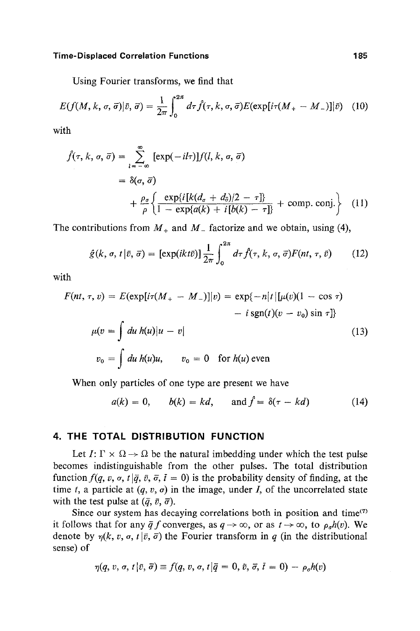#### **Time-Displaced Correlation Functions 185**

Using Fourier transforms, we find that

$$
E(f(M,k,\sigma,\vec{\sigma})|\vec{v},\vec{\sigma})=\frac{1}{2\pi}\int_0^{2\pi}d\tau\,\hat{f}(\tau,k,\sigma,\vec{\sigma})E(\exp[i\tau(M_+-M_-)]|\vec{v})\quad(10)
$$

with

$$
\hat{f}(\tau, k, \sigma, \bar{\sigma}) = \sum_{l = -\infty}^{\infty} [\exp(-il\tau)] f(l, k, \sigma, \bar{\sigma})
$$
  
=  $\delta(\sigma, \bar{\sigma})$   
+  $\frac{\rho_{\sigma}}{\rho} \left\{ \frac{\exp\{i[k(d_{\sigma} + d_{\bar{\sigma}})/2 - \tau]\}}{1 - \exp\{a(k) + i[b(k) - \tau]\}} + \text{comp. conj.} \right\}$  (11)

The contributions from  $M_+$  and  $M_-$  factorize and we obtain, using (4),

$$
\hat{g}(k, \sigma, t | \bar{v}, \bar{\sigma}) = [\exp(ikt\bar{v})] \frac{1}{2\pi} \int_0^{2\pi} d\tau \hat{f}(\tau, k, \sigma, \bar{\sigma}) F(nt, \tau, \bar{v}) \tag{12}
$$

with

$$
F(nt, \tau, v) = E(\exp[i\tau(M_{+} - M_{-})]|v) = \exp\{-n|t|[\mu(v)(1 - \cos \tau) - i \operatorname{sgn}(t)(v - v_{0}) \sin \tau]\}
$$

$$
= \int du \, h(u)|u - v|
$$
(13)
$$
v_{0} = \int du \, h(u)u, \qquad v_{0} = 0 \quad \text{for } h(u) \text{ even}
$$

When only particles of one type are present we have

$$
a(k) = 0, \qquad b(k) = kd, \qquad \text{and } f = \delta(\tau - kd) \tag{14}
$$

## **4. THE TOTAL DISTRIBUTION FUNCTION**

Let  $I: \Gamma \times \Omega \rightarrow \Omega$  be the natural imbedding under which the test pulse becomes indistinguishable from the other pulses. The total distribution function  $f(q, v, \sigma, t | \bar{q}, \bar{v}, \bar{\sigma}, \bar{t} = 0)$  is the probability density of finding, at the time t, a particle at  $(q, v, \sigma)$  in the image, under I, of the uncorrelated state with the test pulse at  $({\bar q}, {\bar v}, {\bar \sigma})$ .

Since our system has decaying correlations both in position and time $(7)$ it follows that for any  $\bar{q} f$  converges, as  $q \to \infty$ , or as  $t \to \infty$ , to  $\rho_{q}h(v)$ . We denote by  $\eta(k, v, \sigma, t | \bar{v}, \bar{\sigma})$  the Fourier transform in q (in the distributional sense) of

$$
\eta(q, v, \sigma, t | \bar{v}, \bar{\sigma}) \equiv f(q, v, \sigma, t | \bar{q} = 0, \bar{v}, \bar{\sigma}, \bar{t} = 0) - \rho_{\sigma} h(v)
$$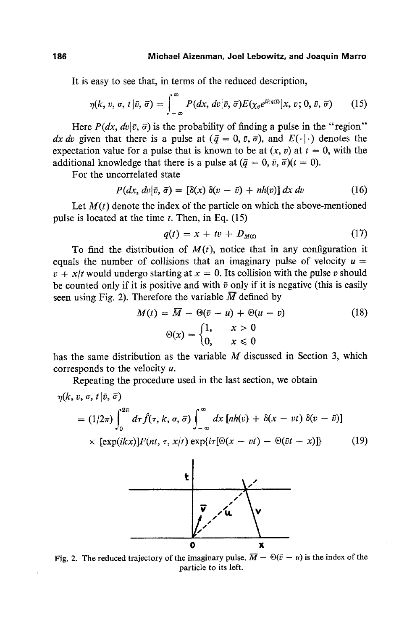It is easy to see that, in terms of the reduced description,

$$
\eta(k, v, \sigma, t | \bar{v}, \bar{\sigma}) = \int_{-\infty}^{\infty} P(dx, dv | \bar{v}, \bar{\sigma}) E(\chi_{\sigma} e^{ikq(t)} | x, v; 0, \bar{v}, \bar{\sigma}) \qquad (15)
$$

Here  $P(dx, dv | \bar{v}, \bar{\sigma})$  is the probability of finding a pulse in the "region" *dx dv* given that there is a pulse at  $(\bar{q} = 0, \bar{v}, \bar{\sigma})$ , and  $E(\cdot | \cdot)$  denotes the expectation value for a pulse that is known to be at  $(x, v)$  at  $t = 0$ , with the additional knowledge that there is a pulse at  $(\bar{q} = 0, \bar{v}, \bar{\sigma})(t = 0)$ .

For the uncorreiated **state** 

$$
P(dx, dv | \bar{v}, \bar{\sigma}) = [\delta(x) \, \delta(v - \bar{v}) + nh(v)] \, dx \, dv \tag{16}
$$

Let  $M(t)$  denote the index of the particle on which the above-mentioned pulse is located at the time  $t$ . Then, in Eq. (15)

$$
q(t) = x + tv + D_{M(t)} \tag{17}
$$

To find the distribution of  $M(t)$ , notice that in any configuration it equals the number of collisions that an imaginary pulse of velocity  $u =$  $v + x/t$  would undergo starting at  $x = 0$ . Its collision with the pulse v should be counted only if it is positive and with  $\bar{v}$  only if it is negative (this is easily seen using Fig. 2). Therefore the variable  $\overline{M}$  defined by

$$
M(t) = \overline{M} - \Theta(\overline{v} - u) + \Theta(u - v)
$$
(18)  

$$
\Theta(x) = \begin{cases} 1, & x > 0 \\ 0, & x \le 0 \end{cases}
$$

has the same distribution as the variable  $M$  discussed in Section 3, which corresponds to the velocity u.

Repeating the procedure used in the last section, we obtain

$$
\eta(k,\,v,\,\sigma,\,t\,|\,\bar{v},\,\bar{\sigma})
$$

$$
= (1/2\pi) \int_0^{2\pi} d\tau \hat{f}(\tau, k, \sigma, \bar{\sigma}) \int_{-\infty}^{\infty} dx \left[ nh(v) + \delta(x - vt) \delta(v - \bar{v}) \right]
$$
  
× [exp(ikx)]*F*(nt,  $\tau$ ,  $x/t$ ) exp{i $\tau$ [ $\Theta(x - vt) - \Theta(\bar{v}t - x)$ ]} (19)



Fig. 2. The reduced trajectory of the imaginary pulse.  $\overline{M} - \Theta(\overline{v} - u)$  is the index of the **particle to its left.**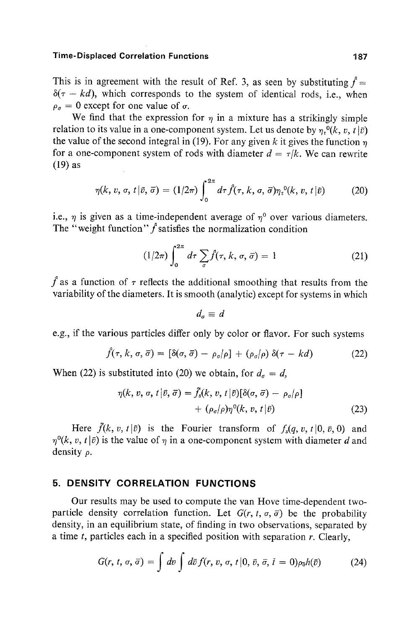#### **Time-Displaced Correlation Functions 187**

This is in agreement with the result of Ref. 3, as seen by substituting  $\hat{f} =$  $\delta(\tau - kd)$ , which corresponds to the system of identical rods, i.e., when  $\rho_{\sigma} = 0$  except for one value of  $\sigma$ .

We find that the expression for  $\eta$  in a mixture has a strikingly simple relation to its value in a one-component system. Let us denote by  $n_e(x, t|\bar{v})$ the value of the second integral in (19). For any given k it gives the function  $\eta$ for a one-component system of rods with diameter  $d = \tau/k$ . We can rewrite (19) as

$$
\eta(k, v, \sigma, t | \bar{v}, \bar{\sigma}) = (1/2\pi) \int_0^{2\pi} d\tau \hat{f}(\tau, k, \sigma, \bar{\sigma}) \eta_t^{0}(k, v, t | \bar{v}) \tag{20}
$$

i.e.,  $\eta$  is given as a time-independent average of  $\eta^0$  over various diameters. The "weight function"  $\hat{f}$  satisfies the normalization condition

$$
(1/2\pi) \int_0^{2\pi} d\tau \sum_{\sigma} \hat{f}(\tau, k, \sigma, \vec{\sigma}) = 1
$$
 (21)

 $\hat{f}$  as a function of  $\tau$  reflects the additional smoothing that results from the variability of the diameters. It is smooth (analytic) except for systems in which

$$
d_{\sigma}\equiv d
$$

e.g., if the various particles differ only by color or flavor. For such systems

$$
\hat{f}(\tau, k, \sigma, \bar{\sigma}) = [\delta(\sigma, \bar{\sigma}) - \rho_{\sigma}/\rho] + (\rho_{\sigma}/\rho) \delta(\tau - kd) \tag{22}
$$

When (22) is substituted into (20) we obtain, for  $d<sub>\sigma</sub> = d$ ,

$$
\eta(k, v, \sigma, t | \bar{v}, \bar{\sigma}) = f_s(k, v, t | \bar{v}) [\delta(\sigma, \bar{\sigma}) - \rho_{\sigma}/\rho] + (\rho_{\sigma}/\rho) \eta^0(k, v, t | \bar{v})
$$
(23)

Here  $\tilde{f}(k, v, t | \bar{v})$  is the Fourier transform of  $f_s(q, v, t | 0, \bar{v}, 0)$  and  $\eta^{0}(k, v, t | \bar{v})$  is the value of  $\eta$  in a one-component system with diameter d and density  $\rho$ .

# **5. DENSITY CORRELATION FUNCTIONS**

Our results may be used to compute the van Hove time-dependent twoparticle density correlation function. Let  $G(r, t, \sigma, \bar{\sigma})$  be the probability density, in an equilibrium state, of finding in two observations, separated by a time  $t$ , particles each in a specified position with separation  $r$ . Clearly,

$$
G(r, t, \sigma, \bar{\sigma}) = \int dv \int d\bar{v} f(r, v, \sigma, t | 0, \bar{v}, \bar{\sigma}, \bar{t} = 0) \rho_{\bar{\sigma}} h(\bar{v}) \tag{24}
$$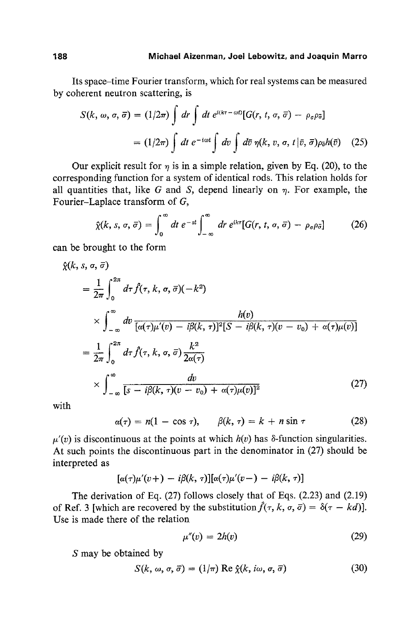Its space-time Fourier transform, which for real systems can be measured by coherent neutron scattering, is

$$
S(k, \omega, \sigma, \overline{\sigma}) = (1/2\pi) \int dr \int dt e^{i(k\tau - \omega t)} [G(r, t, \sigma, \overline{\sigma}) - \rho_{\sigma} \rho_{\overline{\sigma}}]
$$
  
=  $(1/2\pi) \int dt e^{-i\omega t} \int dv \int d\overline{\sigma} \eta(k, v, \sigma, t | \overline{v}, \overline{\sigma}) \rho_{\overline{\sigma}} h(\overline{v})$  (25)

Our explicit result for  $\eta$  is in a simple relation, given by Eq. (20), to the corresponding function for a system of identical rods. This relation holds for all quantities that, like G and S, depend linearly on  $\eta$ . For example, the Fourier-Laplace transform of *G,* 

$$
\hat{\chi}(k, s, \sigma, \bar{\sigma}) = \int_0^{\infty} dt \ e^{-st} \int_{-\infty}^{\infty} dr \ e^{ik\tau} [G(r, t, \sigma, \bar{\sigma}) - \rho_{\sigma} \rho_{\bar{\sigma}}] \tag{26}
$$

can be brought to the form

$$
\hat{\chi}(k, s, \sigma, \bar{\sigma})
$$
\n
$$
= \frac{1}{2\pi} \int_0^{2\pi} d\tau \hat{f}(\tau, k, \sigma, \bar{\sigma})(-k^2)
$$
\n
$$
\times \int_{-\infty}^{\infty} dv \frac{h(v)}{[\alpha(\tau)\mu'(v) - i\beta(k, \tau)]^2[S - i\beta(k, \tau)(v - v_0) + \alpha(\tau)\mu(v)]}
$$
\n
$$
= \frac{1}{2\pi} \int_0^{2\pi} d\tau \hat{f}(\tau, k, \sigma, \bar{\sigma}) \frac{k^2}{2\alpha(\tau)}
$$
\n
$$
\times \int_{-\infty}^{\infty} \frac{dv}{[s - i\beta(k, \tau)(v - v_0) + \alpha(\tau)\mu(v)]^2}
$$
\n(27)

with

 $\alpha(\tau) = n(1 - \cos \tau), \qquad \beta(k, \tau) = k + n \sin \tau$  (28)

 $\mu'(v)$  is discontinuous at the points at which  $h(v)$  has  $\delta$ -function singularities. At such points the discontinuous part in the denominator in (27) should be interpreted as

$$
[\alpha(\tau)\mu'(v+) - i\beta(k,\tau)][\alpha(\tau)\mu'(v-) - i\beta(k,\tau)]
$$

The derivation of Eq. (27) follows closely that of Eqs. (2.23) and (2.19) of Ref. 3 [which are recovered by the substitution  $\hat{f}(\tau, k, \sigma, \bar{\sigma}) = \delta(\tau - kd)$ ]. Use is made there of the relation

$$
\mu''(v) = 2h(v) \tag{29}
$$

S may be obtained by

$$
S(k, \omega, \sigma, \bar{\sigma}) = (1/\pi) \operatorname{Re} \hat{\chi}(k, i\omega, \sigma, \bar{\sigma}) \tag{30}
$$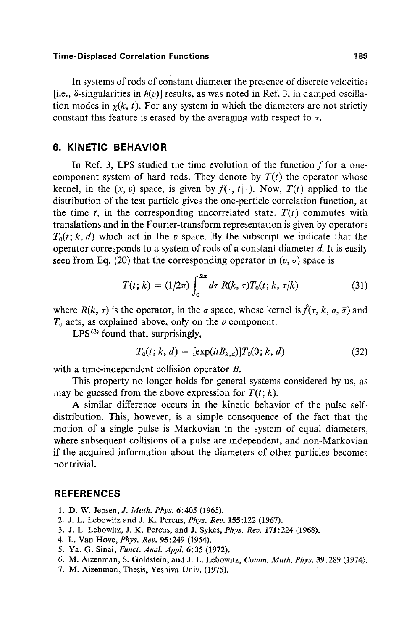#### **Time- Displaced Correlation Functions 189**

In systems of rods of constant diameter the presence of discrete velocities [i.e.,  $\delta$ -singularities in  $h(v)$ ] results, as was noted in Ref. 3, in damped oscillation modes in  $y(k, t)$ . For any system in which the diameters are not strictly constant this feature is erased by the averaging with respect to  $\tau$ .

# **6. KINETIC BEHAVIOR**

In Ref. 3, LPS studied the time evolution of the function  $f$  for a onecomponent system of hard rods. They denote by  $T(t)$  the operator whose kernel, in the  $(x, v)$  space, is given by  $f(\cdot, t | \cdot)$ . Now,  $T(t)$  applied to the distribution of the test particle gives the one-particle correlation function, at the time t, in the corresponding uncorrelated state.  $T(t)$  commutes with translations and in the Fourier-transform representation is given by operators  $T_0(t; k, d)$  which act in the v space. By the subscript we indicate that the operator corresponds to a system of rods of a constant diameter  $d$ . It is easily seen from Eq. (20) that the corresponding operator in  $(v, \sigma)$  space is

$$
T(t; k) = (1/2\pi) \int_0^{2\pi} d\tau R(k, \tau) T_0(t; k, \tau/k)
$$
 (31)

where  $R(k, \tau)$  is the operator, in the  $\sigma$  space, whose kernel is  $\hat{f}(\tau, k, \sigma, \bar{\sigma})$  and  $T_0$  acts, as explained above, only on the v component.

 $LPS<sup>(3)</sup>$  found that, surprisingly,

$$
T_0(t; k, d) = [\exp(itB_{k,d})]T_0(0; k, d)
$$
\n(32)

with a time-independent collision operator B.

This property no longer holds for general systems considered by us, as may be guessed from the above expression for  $T(t; k)$ .

A similar difference occurs in the kinetic behavior of the pulse selfdistribution. This, however, is a simple consequence of the fact that the motion of a single pulse is Markovian in the system of equal diameters, where subsequent collisions of a pulse are independent, and non-Markovian if the acquired information about the diameters of other particles becomes nontrivial.

## **REFERENCES**

- 1. D. W. Jepsen, *J. Math. Phys.* 6:405 (1965).
- 2. J. L. Lebowitz and J. K. Percus, *Phys. Rev.* 155:122 (1967).
- 3. J. L. Lebowitz, J. K. Percus, and J. Sykes, *Phys. Rev.* 171:224 (1968).
- 4. L. Van Hove, *Phys. Rev.* 95:249 (1954).
- 5. Ya. G. Sinai, *Funct. Anal Appl.* 6:35 (1972).
- 6. M. Aizenman, S. Goldstein, and J. L. Lebowitz, *Comm. Math. Phys.* 39:289 (1974).
- 7. M. Aizenman, Thesis, Yeshiva Univ. (1975).